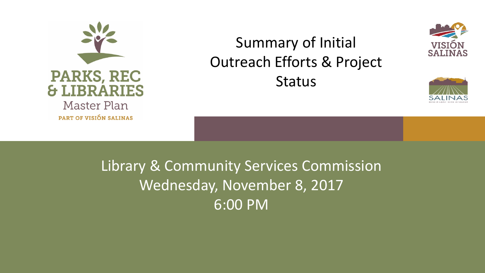

# Summary of Initial Outreach Efforts & Project **Status**





Library & Community Services Commission Wednesday, November 8, 2017 6:00 PM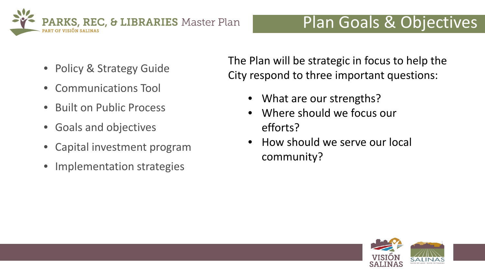

- Policy & Strategy Guide
- Communications Tool
- Built on Public Process
- Goals and objectives
- Capital investment program
- Implementation strategies

The Plan will be strategic in focus to help the City respond to three important questions:

- What are our strengths?
- Where should we focus our efforts?
- How should we serve our local community?

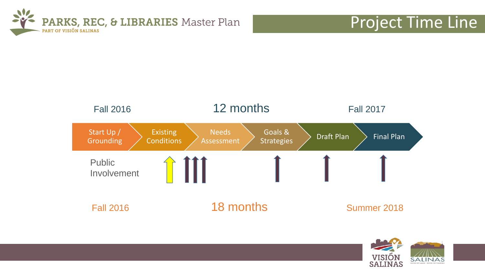

## Project Time Line



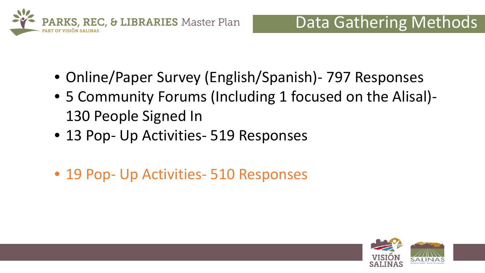

- Online/Paper Survey (English/Spanish)- 797 Responses
- 5 Community Forums (Including 1 focused on the Alisal)- 130 People Signed In
- 13 Pop- Up Activities- 519 Responses
- 19 Pop- Up Activities- 510 Responses

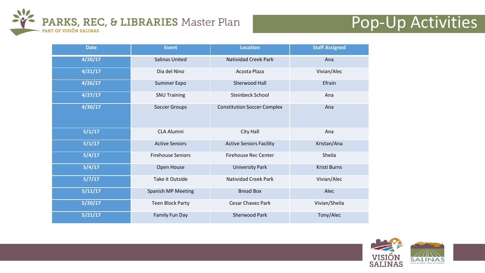

## Pop-Up Activities

| <b>Date</b> | <b>Event</b>              | <b>Location</b>                    | <b>Staff Assigned</b> |
|-------------|---------------------------|------------------------------------|-----------------------|
| 4/20/17     | <b>Salinas United</b>     | <b>Natividad Creek Park</b>        | Ana                   |
| 4/21/17     | Dia del Nino              | Acosta Plaza                       | Vivian/Alec           |
| 4/26/17     | Summer Expo               | Sherwood Hall                      | Efrain                |
| 4/27/17     | <b>SNU Training</b>       | <b>Steinbeck School</b>            | Ana                   |
| 4/30/17     | <b>Soccer Groups</b>      | <b>Constitution Soccer Complex</b> | Ana                   |
| 5/1/17      | <b>CLA Alumni</b>         | City Hall                          | Ana                   |
| 5/1/17      | <b>Active Seniors</b>     | <b>Active Seniors Facility</b>     | Kristan/Ana           |
| 5/4/17      | <b>Firehouse Seniors</b>  | <b>Firehouse Rec Center</b>        | Sheila                |
| 5/4/17      | Open House                | <b>University Park</b>             | Kristi Burns          |
| 5/7/17      | Take it Outside           | <b>Natividad Creek Park</b>        | Vivian/Alec           |
| 5/11/17     | <b>Spanish MP Meeting</b> | <b>Bread Box</b>                   | Alec                  |
| 5/20/17     | <b>Teen Block Party</b>   | <b>Cesar Chavez Park</b>           | Vivian/Sheila         |
| 5/21/17     | Family Fun Day            | <b>Sherwood Park</b>               | Tony/Alec             |

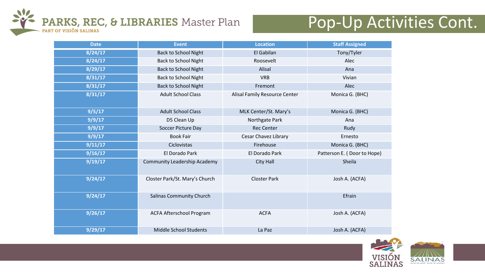

## Pop-Up Activities Cont.

| <b>Date</b> | <b>Event</b>                        | <b>Location</b>               | <b>Staff Assigned</b>       |
|-------------|-------------------------------------|-------------------------------|-----------------------------|
| 8/24/17     | <b>Back to School Night</b>         | El Gabilan                    | Tony/Tyler                  |
| 8/24/17     | <b>Back to School Night</b>         | Roosevelt                     | Alec                        |
| 8/29/17     | <b>Back to School Night</b>         | Alisal                        | Ana                         |
| 8/31/17     | <b>Back to School Night</b>         | <b>VRB</b>                    | Vivian                      |
| 8/31/17     | <b>Back to School Night</b>         | Fremont                       | Alec                        |
| 8/31/17     | <b>Adult School Class</b>           | Alisal Family Resource Center | Monica G. (BHC)             |
| 9/5/17      | <b>Adult School Class</b>           | MLK Center/St. Mary's         | Monica G. (BHC)             |
| 9/9/17      | D5 Clean Up                         | Northgate Park                | Ana                         |
| 9/9/17      | Soccer Picture Day                  | <b>Rec Center</b>             | Rudy                        |
| 9/9/17      | <b>Book Fair</b>                    | <b>Cesar Chavez Library</b>   | Ernesto                     |
| 9/11/17     | Ciclovistas                         | Firehouse                     | Monica G. (BHC)             |
| 9/16/17     | El Dorado Park                      | El Dorado Park                | Patterson E. (Door to Hope) |
| 9/19/17     | <b>Community Leadership Academy</b> | City Hall                     | Sheila                      |
| 9/24/17     | Closter Park/St. Mary's Church      | <b>Closter Park</b>           | Josh A. (ACFA)              |
| 9/24/17     | <b>Salinas Community Church</b>     |                               | Efrain                      |
| 9/26/17     | <b>ACFA Afterschool Program</b>     | <b>ACFA</b>                   | Josh A. (ACFA)              |
| 9/29/17     | Middle School Students              | La Paz                        | Josh A. (ACFA)              |

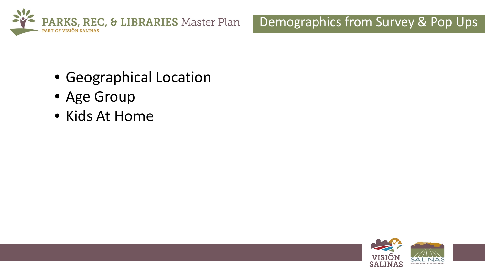

#### Demographics from Survey & Pop Ups

- Geographical Location
- Age Group
- Kids At Home

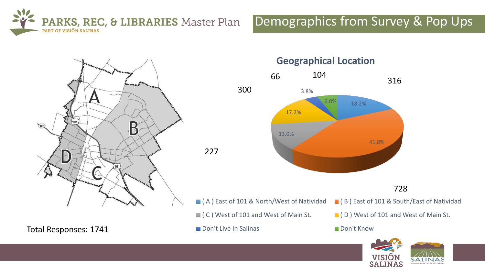

#### Demographics from Survey & Pop Ups



Total Responses: 1741

**Geographical Location**



#### 728

- (A) East of 101 & North/West of Natividad (B) East of 101 & South/East of Natividad
- 
- **Don't Live In Salinas** Don't Know
- 
- $\blacksquare$  ( C ) West of 101 and West of Main St.  $\blacksquare$  ( D ) West of 101 and West of Main St.
	-

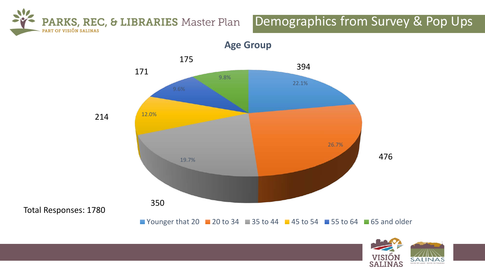PARKS, REC, & LIBRARIES Master Plan PART OF VISIÓN SALINAS

#### Demographics from Survey & Pop Ups



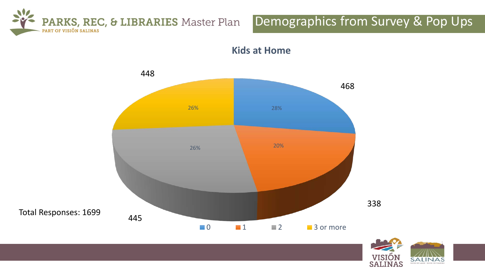

#### Demographics from Survey & Pop Ups





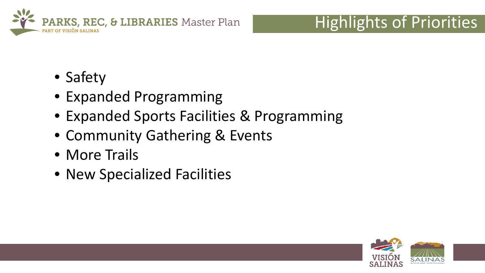

## Highlights of Priorities

- Safety
- Expanded Programming
- Expanded Sports Facilities & Programming
- Community Gathering & Events
- More Trails
- New Specialized Facilities

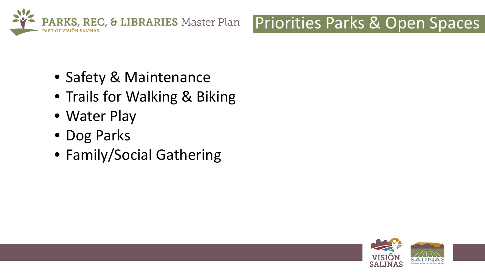

## Priorities Parks & Open Spaces

- Safety & Maintenance
- Trails for Walking & Biking
- Water Play
- Dog Parks
- Family/Social Gathering

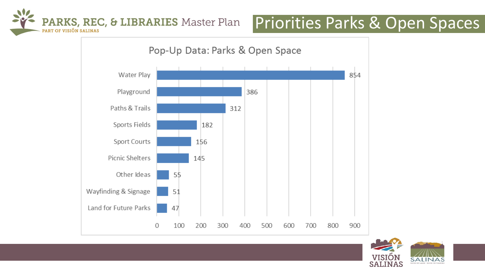

## Priorities Parks & Open Spaces



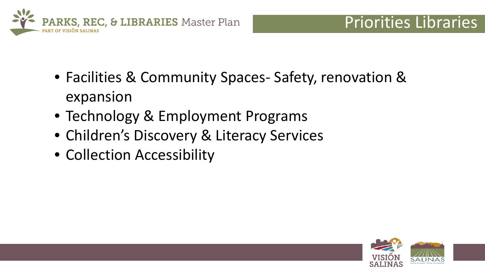

- Facilities & Community Spaces- Safety, renovation & expansion
- Technology & Employment Programs
- Children's Discovery & Literacy Services
- Collection Accessibility

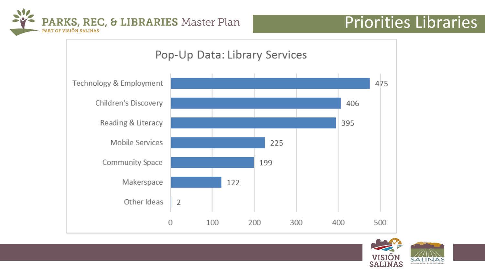

## Priorities Libraries



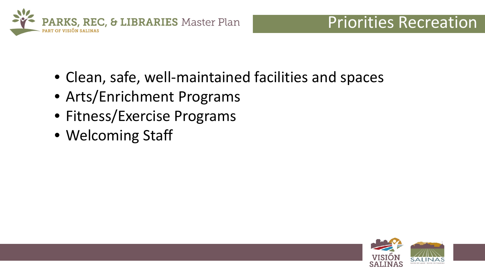

- Clean, safe, well-maintained facilities and spaces
- Arts/Enrichment Programs
- Fitness/Exercise Programs
- Welcoming Staff

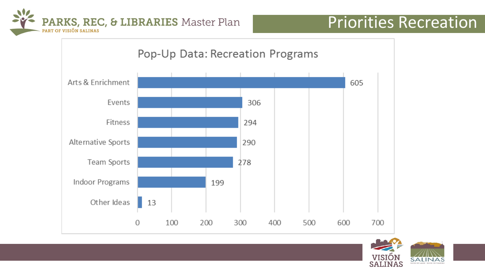



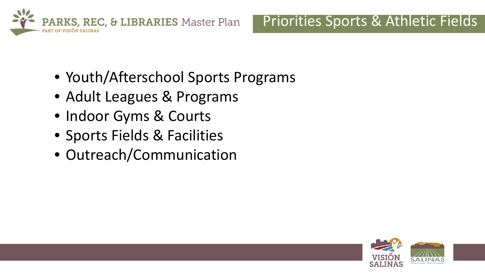

### Priorities Sports & Athletic Fields

- Youth/Afterschool Sports Programs
- Adult Leagues & Programs
- Indoor Gyms & Courts
- Sports Fields & Facilities
- Outreach/Communication

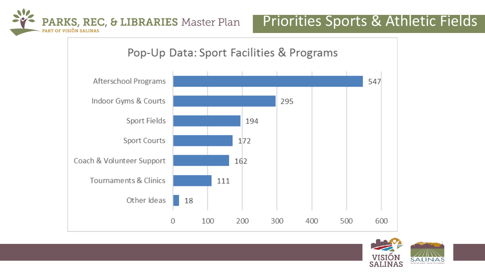



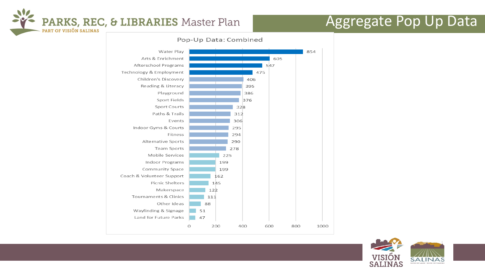

### Aggregate Pop Up Data

#### Pop-Up Data: Combined